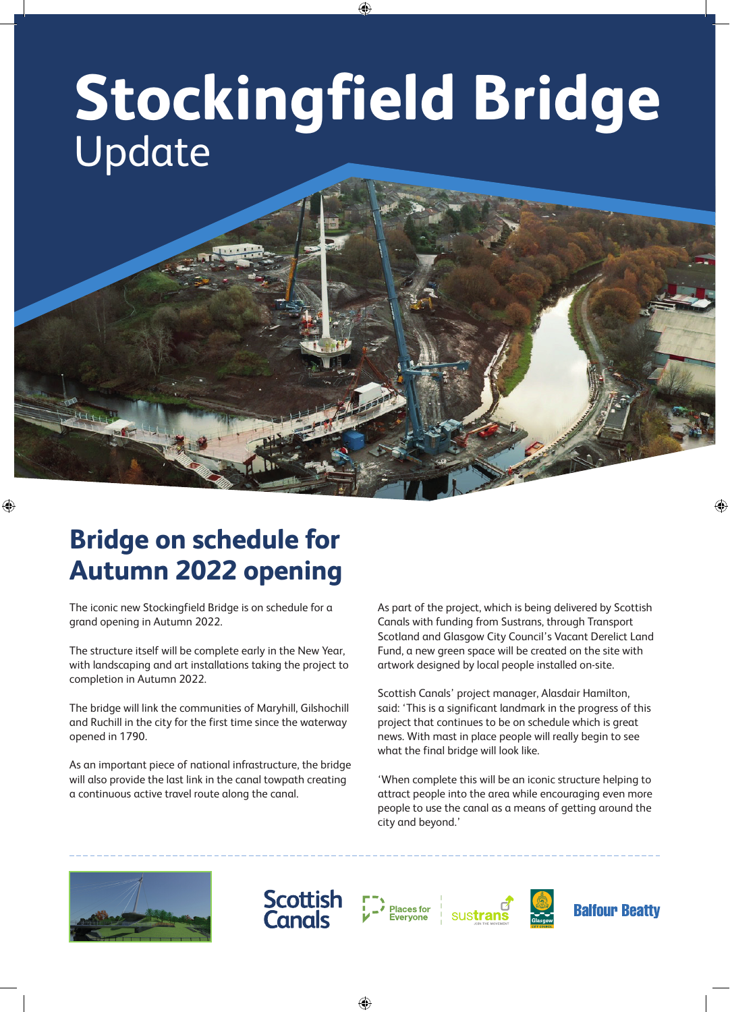# **Stockingfield Bridge** Update

⊕

# **Bridge on schedule for Autumn 2022 opening**

⊕

The iconic new Stockingfield Bridge is on schedule for a grand opening in Autumn 2022.

The structure itself will be complete early in the New Year, with landscaping and art installations taking the project to completion in Autumn 2022.

The bridge will link the communities of Maryhill, Gilshochill and Ruchill in the city for the first time since the waterway opened in 1790.

As an important piece of national infrastructure, the bridge will also provide the last link in the canal towpath creating a continuous active travel route along the canal.

As part of the project, which is being delivered by Scottish Canals with funding from Sustrans, through Transport Scotland and Glasgow City Council's Vacant Derelict Land Fund, a new green space will be created on the site with artwork designed by local people installed on-site.

Scottish Canals' project manager, Alasdair Hamilton, said: 'This is a significant landmark in the progress of this project that continues to be on schedule which is great news. With mast in place people will really begin to see what the final bridge will look like.

'When complete this will be an iconic structure helping to attract people into the area while encouraging even more people to use the canal as a means of getting around the city and beyond.'





**Places for** 

⊕